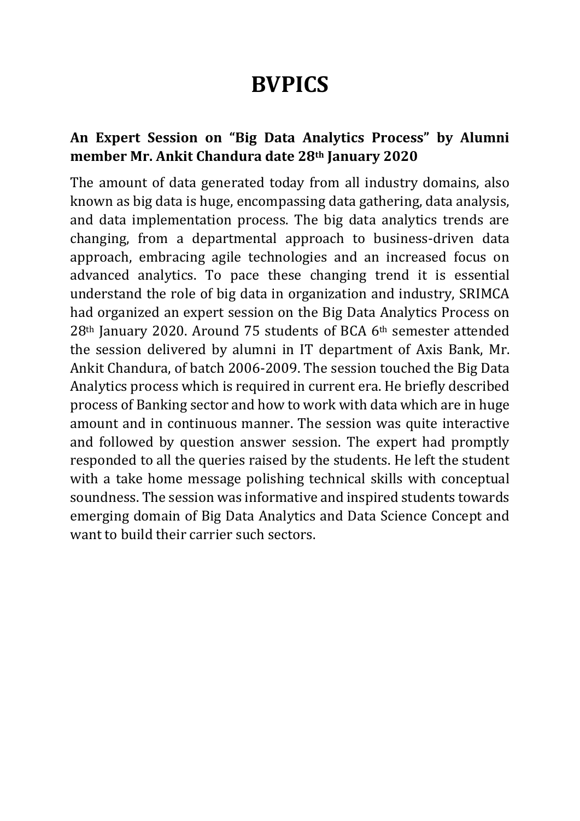## **BVPICS**

## **An Expert Session on "Big Data Analytics Process" by Alumni member Mr. Ankit Chandura date 28th January 2020**

The amount of data generated today from all industry domains, also known as big data is huge, encompassing data gathering, data analysis, and data implementation process. The big data analytics trends are changing, from a departmental approach to business-driven data approach, embracing agile technologies and an increased focus on advanced analytics. To pace these changing trend it is essential understand the role of big data in organization and industry, SRIMCA had organized an expert session on the Big Data Analytics Process on 28th January 2020. Around 75 students of BCA 6th semester attended the session delivered by alumni in IT department of Axis Bank, Mr. Ankit Chandura, of batch 2006-2009. The session touched the Big Data Analytics process which is required in current era. He briefly described process of Banking sector and how to work with data which are in huge amount and in continuous manner. The session was quite interactive and followed by question answer session. The expert had promptly responded to all the queries raised by the students. He left the student with a take home message polishing technical skills with conceptual soundness. The session was informative and inspired students towards emerging domain of Big Data Analytics and Data Science Concept and want to build their carrier such sectors.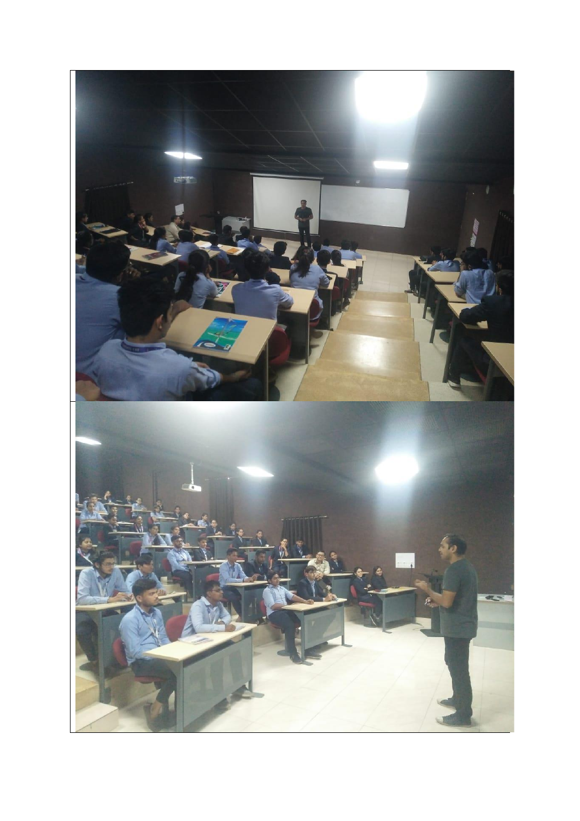